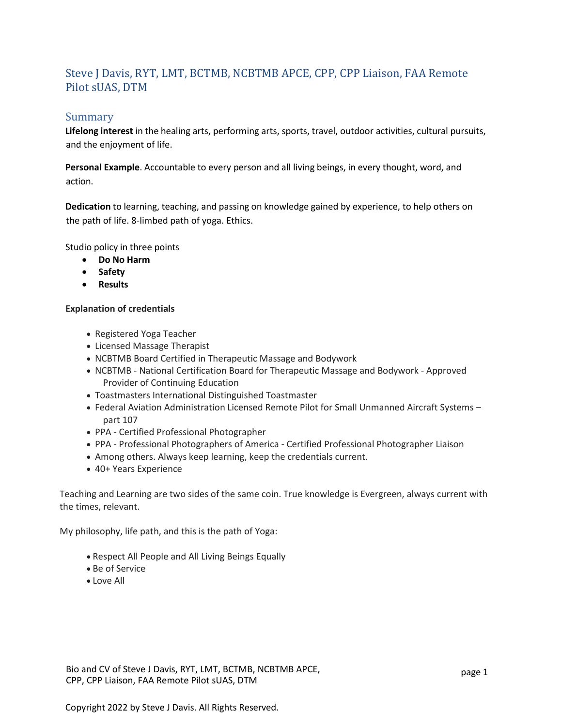# Steve J Davis, RYT, LMT, BCTMB, NCBTMB APCE, CPP, CPP Liaison, FAA Remote Pilot sUAS, DTM

## Summary

**Lifelong interest** in the healing arts, performing arts, sports, travel, outdoor activities, cultural pursuits, and the enjoyment of life.

**Personal Example**. Accountable to every person and all living beings, in every thought, word, and action.

**Dedication** to learning, teaching, and passing on knowledge gained by experience, to help others on the path of life. 8-limbed path of yoga. Ethics.

Studio policy in three points

- **Do No Harm**
- **Safety**
- **Results**

#### **Explanation of credentials**

- Registered Yoga Teacher
- Licensed Massage Therapist
- NCBTMB Board Certified in Therapeutic Massage and Bodywork
- NCBTMB National Certification Board for Therapeutic Massage and Bodywork Approved Provider of Continuing Education
- Toastmasters International Distinguished Toastmaster
- Federal Aviation Administration Licensed Remote Pilot for Small Unmanned Aircraft Systems part 107
- PPA Certified Professional Photographer
- PPA Professional Photographers of America Certified Professional Photographer Liaison
- Among others. Always keep learning, keep the credentials current.
- 40+ Years Experience

Teaching and Learning are two sides of the same coin. True knowledge is Evergreen, always current with the times, relevant.

My philosophy, life path, and this is the path of Yoga:

- Respect All People and All Living Beings Equally
- Be of Service
- Love All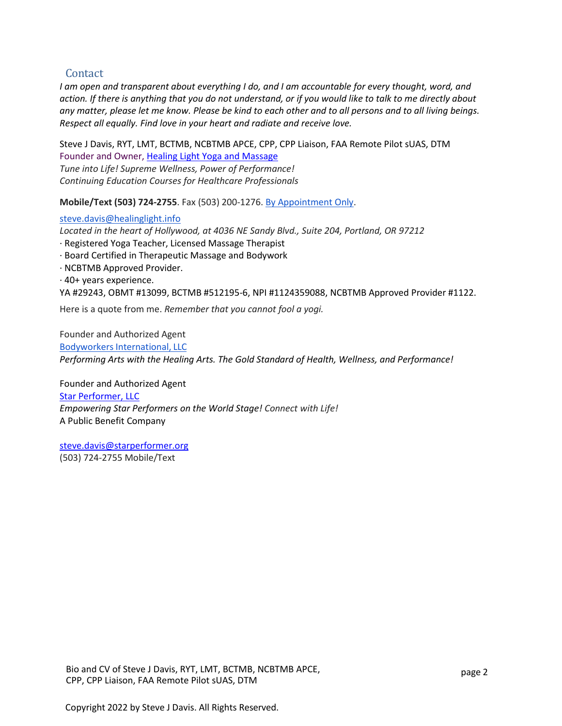## **Contact**

*I am open and transparent about everything I do, and I am accountable for every thought, word, and action. If there is anything that you do not understand, or if you would like to talk to me directly about any matter, please let me know. Please be kind to each other and to all persons and to all living beings. Respect all equally. Find love in your heart and radiate and receive love.*

Steve J Davis, RYT, LMT, BCTMB, NCBTMB APCE, CPP, CPP Liaison, FAA Remote Pilot sUAS, DTM Founder and Owner, [Healing Light Yoga and Massage](https://healinglight.info/) *Tune into Life! Supreme Wellness, Power of Performance! Continuing Education Courses for Healthcare Professionals*

**Mobile/Text (503) 724-2755**. Fax (503) 200-1276. [By Appointment Only.](https://healinglight.info/contact-us/)

#### [steve.davis@healinglight.info](mailto:steve.davis@healinglight.info)

*Located in the heart of Hollywood, at 4036 NE Sandy Blvd., Suite 204, Portland, OR 97212*

- · Registered Yoga Teacher, Licensed Massage Therapist
- · Board Certified in Therapeutic Massage and Bodywork
- · NCBTMB Approved Provider.
- · 40+ years experience.

YA #29243, OBMT #13099, BCTMB #512195-6, NPI #1124359088, NCBTMB Approved Provider #1122.

Here is a quote from me. *Remember that you cannot fool a yogi.*

Founder and Authorized Agent Bodyworkers [International,](https://bodyworkersinternational.org/) LLC *Performing Arts with the Healing Arts. The Gold Standard of Health, Wellness, and Performance!*

Founder and Authorized Agent [Star Performer, LLC](https://starperformer.org/) *Empowering Star Performers on the World Stage! Connect with Life!* A Public Benefit Company

[steve.davis@starperformer.org](mailto:steve.davis@starperformer.org) (503) 724-2755 Mobile/Text

Bio and CV of Steve J Davis, RYT, LMT, BCTMB, NCBTMB APCE, CPP, CPP Liaison, FAA Remote Pilot sUAS, DTM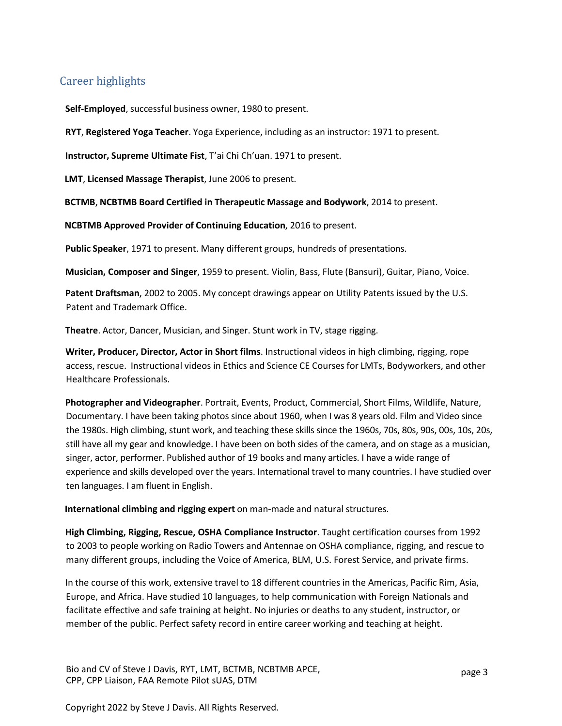## Career highlights

**Self-Employed**, successful business owner, 1980 to present.

**RYT**, **Registered Yoga Teacher**. Yoga Experience, including as an instructor: 1971 to present.

**Instructor, Supreme Ultimate Fist**, T'ai Chi Ch'uan. 1971 to present.

**LMT**, **Licensed Massage Therapist**, June 2006 to present.

**BCTMB**, **NCBTMB Board Certified in Therapeutic Massage and Bodywork**, 2014 to present.

**NCBTMB Approved Provider of Continuing Education**, 2016 to present.

**Public Speaker**, 1971 to present. Many different groups, hundreds of presentations.

**Musician, Composer and Singer**, 1959 to present. Violin, Bass, Flute (Bansuri), Guitar, Piano, Voice.

**Patent Draftsman**, 2002 to 2005. My concept drawings appear on Utility Patents issued by the U.S. Patent and Trademark Office.

**Theatre**. Actor, Dancer, Musician, and Singer. Stunt work in TV, stage rigging.

**Writer, Producer, Director, Actor in Short films**. Instructional videos in high climbing, rigging, rope access, rescue. Instructional videos in Ethics and Science CE Courses for LMTs, Bodyworkers, and other Healthcare Professionals.

**Photographer and Videographer**. Portrait, Events, Product, Commercial, Short Films, Wildlife, Nature, Documentary. I have been taking photos since about 1960, when I was 8 years old. Film and Video since the 1980s. High climbing, stunt work, and teaching these skills since the 1960s, 70s, 80s, 90s, 00s, 10s, 20s, still have all my gear and knowledge. I have been on both sides of the camera, and on stage as a musician, singer, actor, performer. Published author of 19 books and many articles. I have a wide range of experience and skills developed over the years. International travel to many countries. I have studied over ten languages. I am fluent in English.

**International climbing and rigging expert** on man-made and natural structures.

**High Climbing, Rigging, Rescue, OSHA Compliance Instructor**. Taught certification courses from 1992 to 2003 to people working on Radio Towers and Antennae on OSHA compliance, rigging, and rescue to many different groups, including the Voice of America, BLM, U.S. Forest Service, and private firms.

In the course of this work, extensive travel to 18 different countries in the Americas, Pacific Rim, Asia, Europe, and Africa. Have studied 10 languages, to help communication with Foreign Nationals and facilitate effective and safe training at height. No injuries or deaths to any student, instructor, or member of the public. Perfect safety record in entire career working and teaching at height.

Bio and CV of Steve J Davis, RYT, LMT, BCTMB, NCBTMB APCE, CPP, CPP Liaison, FAA Remote Pilot sUAS, DTM

Copyright 2022 by Steve J Davis. All Rights Reserved.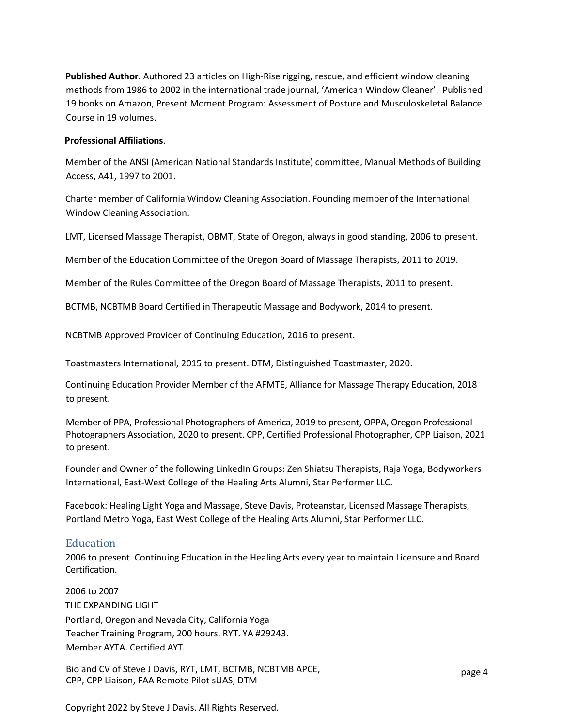**Published Author**. Authored 23 articles on High-Rise rigging, rescue, and efficient window cleaning methods from 1986 to 2002 in the international trade journal, 'American Window Cleaner'. Published 19 books on Amazon, Present Moment Program: Assessment of Posture and Musculoskeletal Balance Course in 19 volumes.

#### **Professional Affiliations**.

Member of the ANSI (American National Standards Institute) committee, Manual Methods of Building Access, A41, 1997 to 2001.

Charter member of California Window Cleaning Association. Founding member of the International Window Cleaning Association.

LMT, Licensed Massage Therapist, OBMT, State of Oregon, always in good standing, 2006 to present.

Member of the Education Committee of the Oregon Board of Massage Therapists, 2011 to 2019.

Member of the Rules Committee of the Oregon Board of Massage Therapists, 2011 to present.

BCTMB, NCBTMB Board Certified in Therapeutic Massage and Bodywork, 2014 to present.

NCBTMB Approved Provider of Continuing Education, 2016 to present.

Toastmasters International, 2015 to present. DTM, Distinguished Toastmaster, 2020.

Continuing Education Provider Member of the AFMTE, Alliance for Massage Therapy Education, 2018 to present.

Member of PPA, Professional Photographers of America, 2019 to present, OPPA, Oregon Professional Photographers Association, 2020 to present. CPP, Certified Professional Photographer, CPP Liaison, 2021 to present.

Founder and Owner of the following LinkedIn Groups: Zen Shiatsu Therapists, Raja Yoga, Bodyworkers International, East-West College of the Healing Arts Alumni, Star Performer LLC.

Facebook: Healing Light Yoga and Massage, Steve Davis, Proteanstar, Licensed Massage Therapists, Portland Metro Yoga, East West College of the Healing Arts Alumni, Star Performer LLC.

### Education

2006 to present. Continuing Education in the Healing Arts every year to maintain Licensure and Board Certification.

2006 to 2007 THE EXPANDING LIGHT Portland, Oregon and Nevada City, California Yoga Teacher Training Program, 200 hours. RYT. YA #29243. Member AYTA. Certified AYT.

Bio and CV of Steve J Davis, RYT, LMT, BCTMB, NCBTMB APCE, CPP, CPP Liaison, FAA Remote Pilot sUAS, DTM

Copyright 2022 by Steve J Davis. All Rights Reserved.